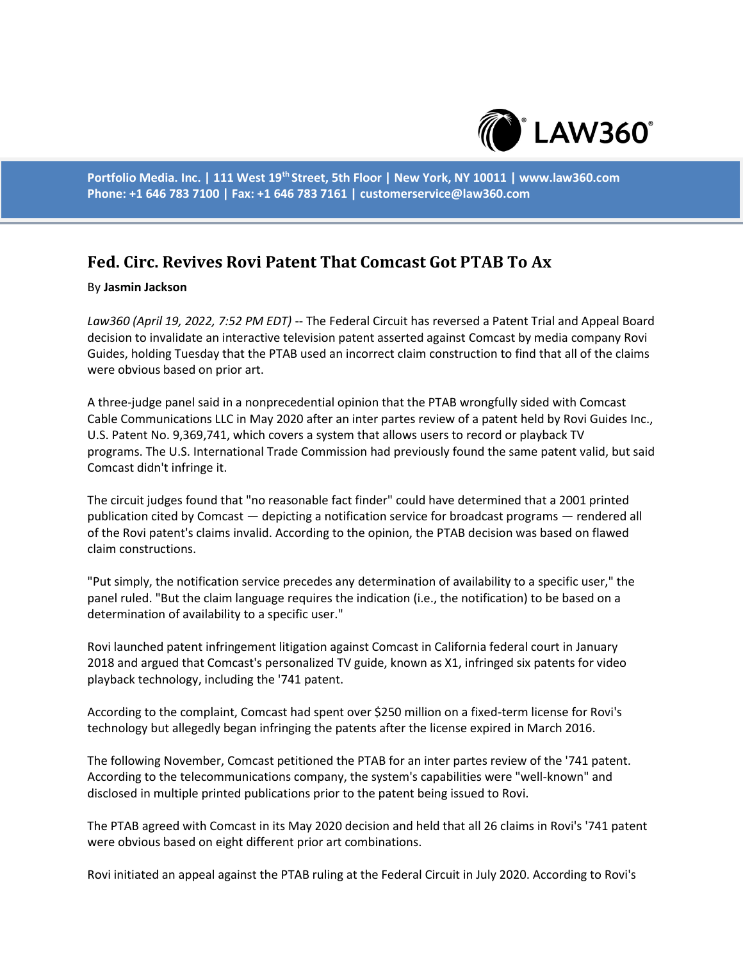

**Portfolio Media. Inc. | 111 West 19th Street, 5th Floor | New York, NY 10011 | www.law360.com Phone: +1 646 783 7100 | Fax: +1 646 783 7161 | customerservice@law360.com**

## **Fed. Circ. Revives Rovi Patent That Comcast Got PTAB To Ax**

## By **Jasmin Jackson**

*Law360 (April 19, 2022, 7:52 PM EDT)* -- The Federal Circuit has reversed a Patent Trial and Appeal Board decision to invalidate an interactive television patent asserted against Comcast by media company Rovi Guides, holding Tuesday that the PTAB used an incorrect claim construction to find that all of the claims were obvious based on prior art.

A three-judge panel said in a nonprecedential opinion that the PTAB wrongfully sided with Comcast Cable Communications LLC in May 2020 after an inter partes review of a patent held by Rovi Guides Inc., U.S. Patent No. 9,369,741, which covers a system that allows users to record or playback TV programs. The U.S. International Trade Commission had previously found the same patent valid, but said Comcast didn't infringe it.

The circuit judges found that "no reasonable fact finder" could have determined that a 2001 printed publication cited by Comcast — depicting a notification service for broadcast programs — rendered all of the Rovi patent's claims invalid. According to the opinion, the PTAB decision was based on flawed claim constructions.

"Put simply, the notification service precedes any determination of availability to a specific user," the panel ruled. "But the claim language requires the indication (i.e., the notification) to be based on a determination of availability to a specific user."

Rovi launched patent infringement litigation against Comcast in California federal court in January 2018 and argued that Comcast's personalized TV guide, known as X1, infringed six patents for video playback technology, including the '741 patent.

According to the complaint, Comcast had spent over \$250 million on a fixed-term license for Rovi's technology but allegedly began infringing the patents after the license expired in March 2016.

The following November, Comcast petitioned the PTAB for an inter partes review of the '741 patent. According to the telecommunications company, the system's capabilities were "well-known" and disclosed in multiple printed publications prior to the patent being issued to Rovi.

The PTAB agreed with Comcast in its May 2020 decision and held that all 26 claims in Rovi's '741 patent were obvious based on eight different prior art combinations.

Rovi initiated an appeal against the PTAB ruling at the Federal Circuit in July 2020. According to Rovi's